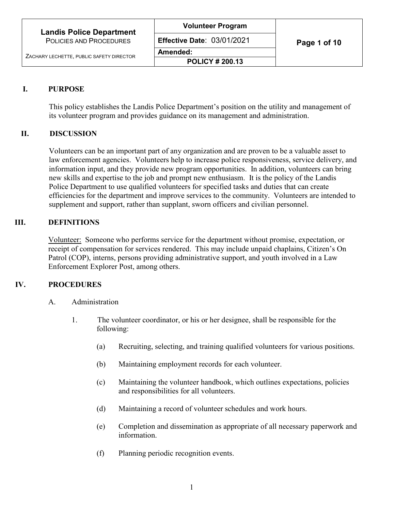# **I. PURPOSE**

This policy establishes the Landis Police Department's position on the utility and management of its volunteer program and provides guidance on its management and administration.

### **II. DISCUSSION**

Volunteers can be an important part of any organization and are proven to be a valuable asset to law enforcement agencies. Volunteers help to increase police responsiveness, service delivery, and information input, and they provide new program opportunities. In addition, volunteers can bring new skills and expertise to the job and prompt new enthusiasm. It is the policy of the Landis Police Department to use qualified volunteers for specified tasks and duties that can create efficiencies for the department and improve services to the community. Volunteers are intended to supplement and support, rather than supplant, sworn officers and civilian personnel.

# **III. DEFINITIONS**

Volunteer:Someone who performs service for the department without promise, expectation, or receipt of compensation for services rendered. This may include unpaid chaplains, Citizen's On Patrol (COP), interns, persons providing administrative support, and youth involved in a Law Enforcement Explorer Post, among others.

# **IV. PROCEDURES**

- A. Administration
	- 1. The volunteer coordinator, or his or her designee, shall be responsible for the following:
		- (a) Recruiting, selecting, and training qualified volunteers for various positions.
		- (b) Maintaining employment records for each volunteer.
		- (c) Maintaining the volunteer handbook, which outlines expectations, policies and responsibilities for all volunteers.
		- (d) Maintaining a record of volunteer schedules and work hours.
		- (e) Completion and dissemination as appropriate of all necessary paperwork and information.
		- (f) Planning periodic recognition events.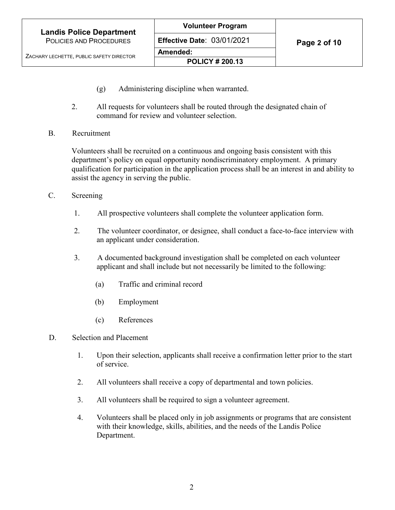- (g) Administering discipline when warranted.
- 2. All requests for volunteers shall be routed through the designated chain of command for review and volunteer selection.
- B. Recruitment

Volunteers shall be recruited on a continuous and ongoing basis consistent with this department's policy on equal opportunity nondiscriminatory employment. A primary qualification for participation in the application process shall be an interest in and ability to assist the agency in serving the public.

- C. Screening
	- 1. All prospective volunteers shall complete the volunteer application form.
	- 2. The volunteer coordinator, or designee, shall conduct a face-to-face interview with an applicant under consideration.
	- 3. A documented background investigation shall be completed on each volunteer applicant and shall include but not necessarily be limited to the following:
		- (a) Traffic and criminal record
		- (b) Employment
		- (c) References
- D. Selection and Placement
	- 1. Upon their selection, applicants shall receive a confirmation letter prior to the start of service.
	- 2. All volunteers shall receive a copy of departmental and town policies.
	- 3. All volunteers shall be required to sign a volunteer agreement.
	- 4. Volunteers shall be placed only in job assignments or programs that are consistent with their knowledge, skills, abilities, and the needs of the Landis Police Department.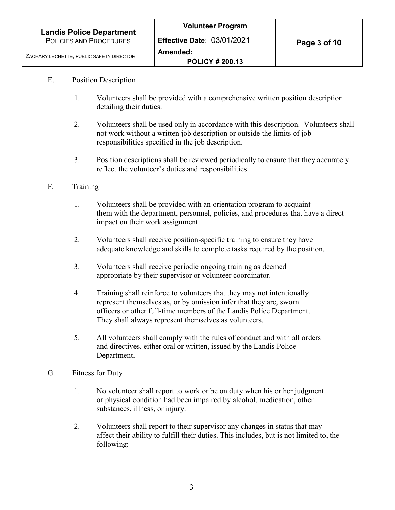#### E. Position Description

- 1. Volunteers shall be provided with a comprehensive written position description detailing their duties.
- 2. Volunteers shall be used only in accordance with this description. Volunteers shall not work without a written job description or outside the limits of job responsibilities specified in the job description.
- 3. Position descriptions shall be reviewed periodically to ensure that they accurately reflect the volunteer's duties and responsibilities.

#### F. Training

- 1. Volunteers shall be provided with an orientation program to acquaint them with the department, personnel, policies, and procedures that have a direct impact on their work assignment.
- 2. Volunteers shall receive position-specific training to ensure they have adequate knowledge and skills to complete tasks required by the position.
- 3. Volunteers shall receive periodic ongoing training as deemed appropriate by their supervisor or volunteer coordinator.
- 4. Training shall reinforce to volunteers that they may not intentionally represent themselves as, or by omission infer that they are, sworn officers or other full-time members of the Landis Police Department. They shall always represent themselves as volunteers.
- 5. All volunteers shall comply with the rules of conduct and with all orders and directives, either oral or written, issued by the Landis Police Department.
- G. Fitness for Duty
	- 1. No volunteer shall report to work or be on duty when his or her judgment or physical condition had been impaired by alcohol, medication, other substances, illness, or injury.
	- 2. Volunteers shall report to their supervisor any changes in status that may affect their ability to fulfill their duties. This includes, but is not limited to, the following: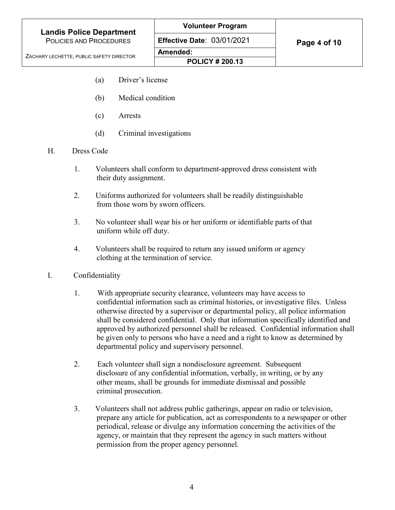ZACHARY LECHETTE, PUBLIC SAFETY DIRECTOR

- 
- (a) Driver's license
- (b) Medical condition
- (c) Arrests
- (d) Criminal investigations
- H. Dress Code
	- 1. Volunteers shall conform to department-approved dress consistent with their duty assignment.
	- 2. Uniforms authorized for volunteers shall be readily distinguishable from those worn by sworn officers.
	- 3. No volunteer shall wear his or her uniform or identifiable parts of that uniform while off duty.
	- 4. Volunteers shall be required to return any issued uniform or agency clothing at the termination of service.
- I. Confidentiality
	- 1. With appropriate security clearance, volunteers may have access to confidential information such as criminal histories, or investigative files. Unless otherwise directed by a supervisor or departmental policy, all police information shall be considered confidential. Only that information specifically identified and approved by authorized personnel shall be released. Confidential information shall be given only to persons who have a need and a right to know as determined by departmental policy and supervisory personnel.
	- 2. Each volunteer shall sign a nondisclosure agreement. Subsequent disclosure of any confidential information, verbally, in writing, or by any other means, shall be grounds for immediate dismissal and possible criminal prosecution.
	- 3. Volunteers shall not address public gatherings, appear on radio or television, prepare any article for publication, act as correspondents to a newspaper or other periodical, release or divulge any information concerning the activities of the agency, or maintain that they represent the agency in such matters without permission from the proper agency personnel.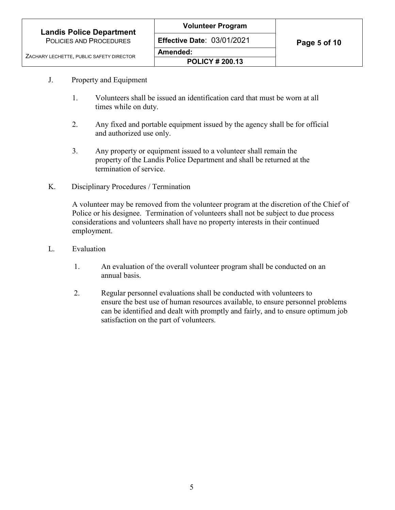- J. Property and Equipment
	- 1. Volunteers shall be issued an identification card that must be worn at all times while on duty.
	- 2. Any fixed and portable equipment issued by the agency shall be for official and authorized use only.
	- 3. Any property or equipment issued to a volunteer shall remain the property of the Landis Police Department and shall be returned at the termination of service.
- K. Disciplinary Procedures / Termination

A volunteer may be removed from the volunteer program at the discretion of the Chief of Police or his designee. Termination of volunteers shall not be subject to due process considerations and volunteers shall have no property interests in their continued employment.

- L. Evaluation
	- 1. An evaluation of the overall volunteer program shall be conducted on an annual basis.
	- 2. Regular personnel evaluations shall be conducted with volunteers to ensure the best use of human resources available, to ensure personnel problems can be identified and dealt with promptly and fairly, and to ensure optimum job satisfaction on the part of volunteers.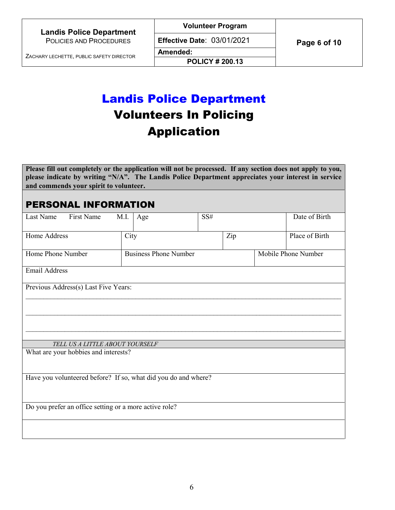**Volunteer Program**

**Effective Date: 03/01/2021 Page 6 of 10** 

ZACHARY LECHETTE, PUBLIC SAFETY DIRECTOR

**POLICY # 200.13**

# Landis Police Department Volunteers In Policing Application

**Amended:**

**Please fill out completely or the application will not be processed. If any section does not apply to you, please indicate by writing "N/A". The Landis Police Department appreciates your interest in service and commends your spirit to volunteer.** 

# PERSONAL INFORMATION

| First Name<br>Last Name                                        | M.I.<br>Age                  | SS# | Date of Birth       |  |
|----------------------------------------------------------------|------------------------------|-----|---------------------|--|
| Home Address                                                   | City                         | Zip | Place of Birth      |  |
| Home Phone Number                                              | <b>Business Phone Number</b> |     | Mobile Phone Number |  |
| Email Address                                                  |                              |     |                     |  |
| Previous Address(s) Last Five Years:                           |                              |     |                     |  |
|                                                                |                              |     |                     |  |
|                                                                |                              |     |                     |  |
| TELL US A LITTLE ABOUT YOURSELF                                |                              |     |                     |  |
| What are your hobbies and interests?                           |                              |     |                     |  |
| Have you volunteered before? If so, what did you do and where? |                              |     |                     |  |
| Do you prefer an office setting or a more active role?         |                              |     |                     |  |
|                                                                |                              |     |                     |  |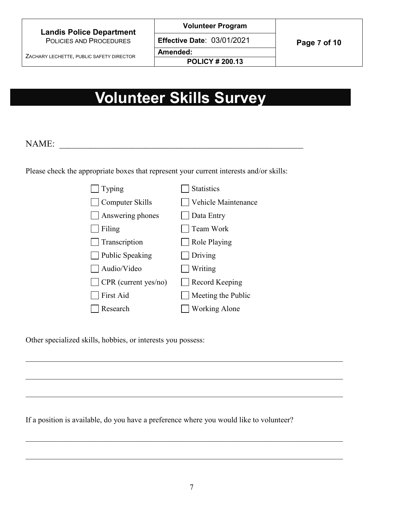#### **Landis Police Department** POLICIES AND PROCEDURES

**Volunteer Program**

ZACHARY LECHETTE, PUBLIC SAFETY DIRECTOR

**Effective Date: 03/01/2021 Page 7 of 10** 

**Amended:**

**POLICY # 200.13**

# **Volunteer Skills Survey**

# NAME:

Please check the appropriate boxes that represent your current interests and/or skills:

| Typing                 | <b>Statistics</b>     |
|------------------------|-----------------------|
| Computer Skills        | Vehicle Maintenance   |
| Answering phones       | Data Entry            |
| Filing                 | Team Work             |
| Transcription          | Role Playing          |
| <b>Public Speaking</b> | Driving               |
| Audio/Video            | <b>Writing</b>        |
| CPR (current yes/no)   | <b>Record Keeping</b> |
| First Aid              | Meeting the Public    |
| Research               | <b>Working Alone</b>  |

Other specialized skills, hobbies, or interests you possess:

If a position is available, do you have a preference where you would like to volunteer?

\_\_\_\_\_\_\_\_\_\_\_\_\_\_\_\_\_\_\_\_\_\_\_\_\_\_\_\_\_\_\_\_\_\_\_\_\_\_\_\_\_\_\_\_\_\_\_\_\_\_\_\_\_\_\_\_\_\_\_\_\_\_\_\_\_\_\_\_\_\_\_\_\_\_\_\_\_\_\_\_\_\_

\_\_\_\_\_\_\_\_\_\_\_\_\_\_\_\_\_\_\_\_\_\_\_\_\_\_\_\_\_\_\_\_\_\_\_\_\_\_\_\_\_\_\_\_\_\_\_\_\_\_\_\_\_\_\_\_\_\_\_\_\_\_\_\_\_\_\_\_\_\_\_\_\_\_\_\_\_\_\_\_\_\_

\_\_\_\_\_\_\_\_\_\_\_\_\_\_\_\_\_\_\_\_\_\_\_\_\_\_\_\_\_\_\_\_\_\_\_\_\_\_\_\_\_\_\_\_\_\_\_\_\_\_\_\_\_\_\_\_\_\_\_\_\_\_\_\_\_\_\_\_\_\_\_\_\_\_\_\_\_\_\_\_\_\_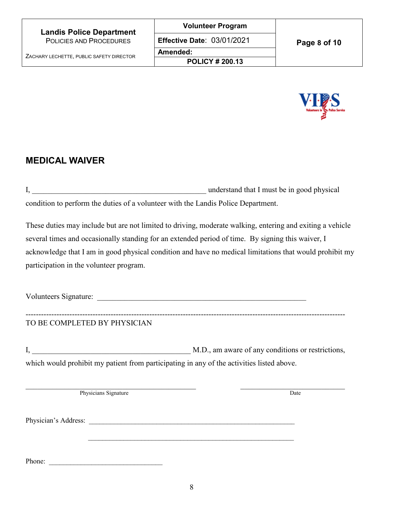

# **MEDICAL WAIVER**

I, \_\_\_\_\_\_\_\_\_\_\_\_\_\_\_\_\_\_\_\_\_\_\_\_\_\_\_\_\_\_\_\_\_\_\_\_\_\_\_\_\_\_\_\_\_ understand that I must be in good physical condition to perform the duties of a volunteer with the Landis Police Department.

These duties may include but are not limited to driving, moderate walking, entering and exiting a vehicle several times and occasionally standing for an extended period of time. By signing this waiver, I acknowledge that I am in good physical condition and have no medical limitations that would prohibit my participation in the volunteer program.

Volunteers Signature:

# TO BE COMPLETED BY PHYSICIAN

I, M.D., am aware of any conditions or restrictions, which would prohibit my patient from participating in any of the activities listed above.

----------------------------------------------------------------------------------------------------------------------------

Physicians Signature Date

Physician's Address:

Phone: \_\_\_\_\_\_\_\_\_\_\_\_\_\_\_\_\_\_\_\_\_\_\_\_\_\_\_\_\_\_\_\_

 $\mathcal{L}_\text{max} = \frac{1}{2} \sum_{i=1}^{n} \frac{1}{2} \sum_{i=1}^{n} \frac{1}{2} \sum_{i=1}^{n} \frac{1}{2} \sum_{i=1}^{n} \frac{1}{2} \sum_{i=1}^{n} \frac{1}{2} \sum_{i=1}^{n} \frac{1}{2} \sum_{i=1}^{n} \frac{1}{2} \sum_{i=1}^{n} \frac{1}{2} \sum_{i=1}^{n} \frac{1}{2} \sum_{i=1}^{n} \frac{1}{2} \sum_{i=1}^{n} \frac{1}{2} \sum_{i=1}^{n} \frac{1$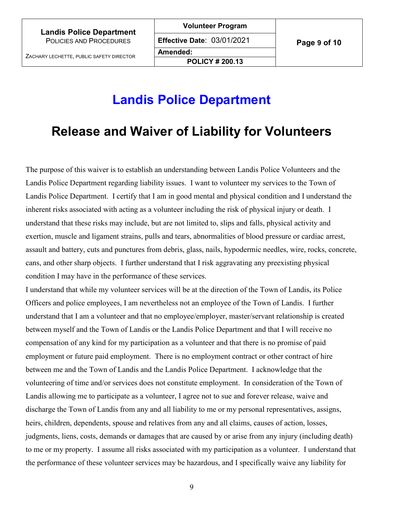**Volunteer Program**

**Amended:**

**POLICY # 200.13**

# **Landis Police Department**

# **Release and Waiver of Liability for Volunteers**

The purpose of this waiver is to establish an understanding between Landis Police Volunteers and the Landis Police Department regarding liability issues. I want to volunteer my services to the Town of Landis Police Department. I certify that I am in good mental and physical condition and I understand the inherent risks associated with acting as a volunteer including the risk of physical injury or death. I understand that these risks may include, but are not limited to, slips and falls, physical activity and exertion, muscle and ligament strains, pulls and tears, abnormalities of blood pressure or cardiac arrest, assault and battery, cuts and punctures from debris, glass, nails, hypodermic needles, wire, rocks, concrete, cans, and other sharp objects. I further understand that I risk aggravating any preexisting physical condition I may have in the performance of these services.

I understand that while my volunteer services will be at the direction of the Town of Landis, its Police Officers and police employees, I am nevertheless not an employee of the Town of Landis. I further understand that I am a volunteer and that no employee/employer, master/servant relationship is created between myself and the Town of Landis or the Landis Police Department and that I will receive no compensation of any kind for my participation as a volunteer and that there is no promise of paid employment or future paid employment. There is no employment contract or other contract of hire between me and the Town of Landis and the Landis Police Department. I acknowledge that the volunteering of time and/or services does not constitute employment. In consideration of the Town of Landis allowing me to participate as a volunteer, I agree not to sue and forever release, waive and discharge the Town of Landis from any and all liability to me or my personal representatives, assigns, heirs, children, dependents, spouse and relatives from any and all claims, causes of action, losses, judgments, liens, costs, demands or damages that are caused by or arise from any injury (including death) to me or my property. I assume all risks associated with my participation as a volunteer. I understand that the performance of these volunteer services may be hazardous, and I specifically waive any liability for

9